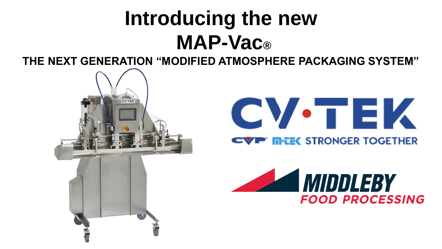## **Introducing the new The Next Generation**  $\mathbf{M}$  $\mathbf{A}$  $\mathbf{P}$  **-**  $\mathbf{V}$  $\mathbf{A}$  $\mathbf{C}$  $\mathbf{R}$ **MAP-Vac®**

**THE NEXT GENERATION "MODIFIED ATMOSPHERE PACKAGING SYSTEM"**





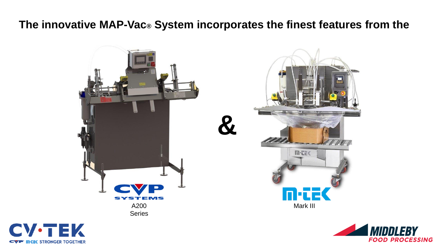### **The innovative MAP-Vac® System incorporates the finest features from the**





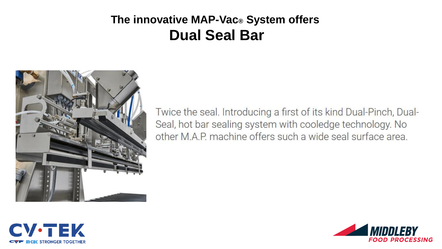## **The innovative MAP-Vac® System offers Dual Seal Bar**



Twice the seal. Introducing a first of its kind Dual-Pinch, Dual-Seal, hot bar sealing system with cooledge technology. No other M.A.P. machine offers such a wide seal surface area.



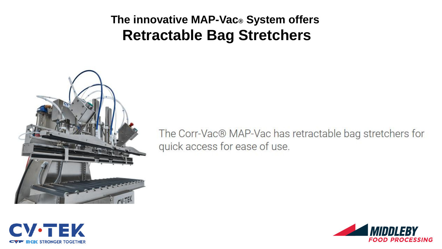## **The innovative MAP-Vac® System offers Retractable Bag Stretchers**



The Corr-Vac® MAP-Vac has retractable bag stretchers for quick access for ease of use.



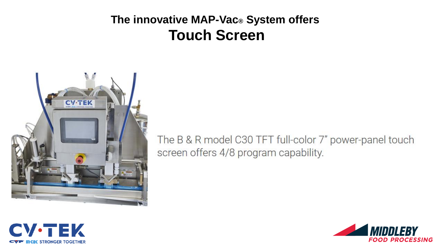## **The innovative MAP-Vac® System offers Touch Screen**



The B & R model C30 TFT full-color 7" power-panel touch screen offers 4/8 program capability.



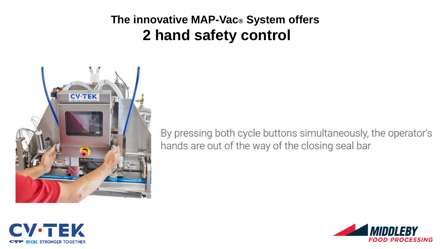## **The innovative MAP-Vac® System offers 2 hand safety control**



By pressing both cycle buttons simultaneously, the operator's hands are out of the way of the closing seal bar



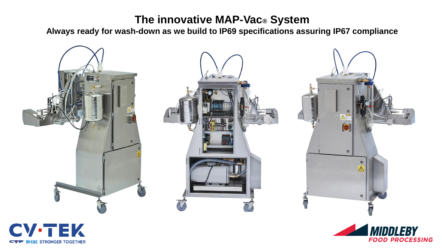### **The innovative MAP-Vac® System**

**Always ready for wash-down as we build to IP69 specifications assuring IP67 compliance**





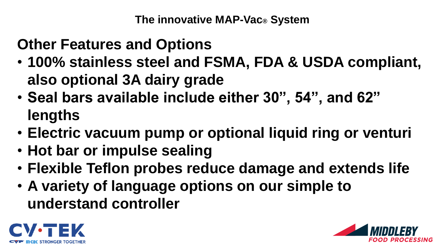**The innovative MAP-Vac® System**

# **Other Features and Options**

- **100% stainless steel and FSMA, FDA & USDA compliant, also optional 3A dairy grade**
- **Seal bars available include either 30", 54", and 62" lengths**
- **Electric vacuum pump or optional liquid ring or venturi**
- **Hot bar or impulse sealing**
- **Flexible Teflon probes reduce damage and extends life**
- **A variety of language options on our simple to understand controller**



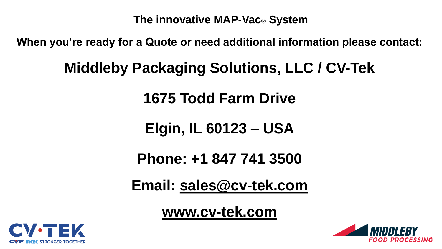**The innovative MAP-Vac® System**

**When you're ready for a Quote or need additional information please contact:**

# **Middleby Packaging Solutions, LLC / CV-Tek**

**1675 Todd Farm Drive** 

**Elgin, IL 60123 – USA**

**Phone: +1 847 741 3500**

**Email: [sales@cv-tek.com](mailto:sales@cv-tek.com)**

**[www.cv-tek.com](http://www.cv-tek.com/)**